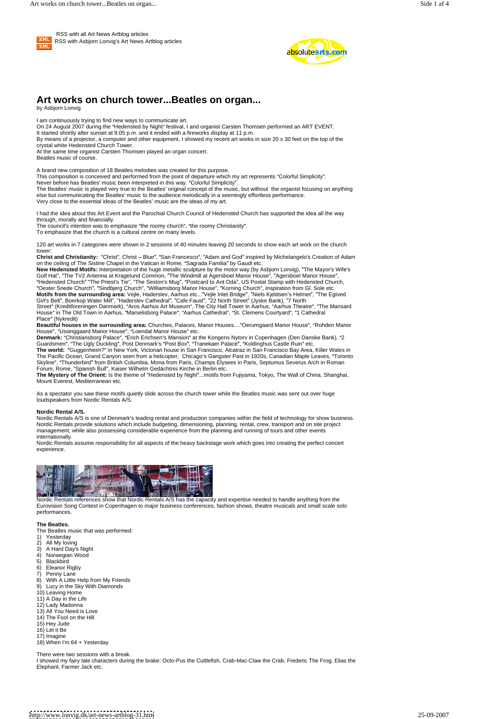

 RSS with all Art News Artblog articles RSS with Asbjorn Lonvig's Art News Artblog articles



I am continuously trying to find new ways to communicate art. On 24 August 2007 during the "Hedensted by Night" festival, I and organist Carsten Thomsen performed an ART EVENT. It started shortly after sunset at 9.05 p.m. and it ended with a fireworks display at 11 p.m. By means of a projector, a computer and other equipment, I showed my recent art works in size 20 x 30 feet on the top of the crystal white Hedensted Church Tower. At the same time organist Carsten Thomsen played an organ concert. Beatles music of course. A brand new composition of 18 Beatles melodies was created for this purpose. This composition is conceived and performed from the point of departure which my art represents "Colorful Simplicity". Never before has Beatles' music been interpreted in this way. "Colorful Simplicity". The Beatles' music is played very true to the Beatles' original concept of the music, but without the organist focusing on anything else but communicating the Beatles' music to the audience melodically in a seemingly effortless performance. Very close to the essential ideas of the Beatles' music are the ideas of my art. I had the idea about this Art Event and the Parochial Church Council of Hedensted Church has supported the idea all the way through, morally and financially. The council's intention was to emphasize "the roomy church", "the roomy Christianity". To emphasize that the church is a cultural centre on many levels. 120 art works in 7 categories were shown in 2 sessions of 40 minutes leaving 20 seconds to show each art work on the church tower: Christ and Christianity: "Christ", Christ - Blue", "San Francesco", "Adam and God" inspired by Michelangelo's Creation of Adam on the ceiling of The Sistine Chapel in the Vatican in Rome, "Sagrada Familia" by Gaudi etc. **New Hedensted Motifs:** Interpretation of the huge metallic sculpture by the motor way (by Asbjorn Lonvig), "The Mayor's Wife's Golf Hat", "The TV2 Antenna at Kragelund Common, "The Windmill at Agersboel Manor House", Golf "Hedensted Church" "The Priest's Tie", "The Sexton's Mug", "Postcard to Ant Oda", US Postal Stamp with Hedensted Church, "Oester Snede Church", "Sindbjerg Church", "Williamsborg Manor House", "Korning Church", inspiration from Gl. Sole etc. Motifs from the surrounding area: Vejle, Haderslev, Aarhus etc..."Vejle Inlet Bridge", "Niels Kjeldsen's Helmet", "The Egtved Girl's Belt", Boerkop Water Mill", "Haderslev Cathedral", "Cafe Faust", "22 North Street" (Jyske Bank), "7 North Street" (Kreditforeningen Danmark), "Aros Aarhus Art Museum", The City Hall Tower in Aarhus, "Aarhus Theatre", "The Mansard House" in The Old Town in Aarhus, "Marselisborg Palace", "Aarhus Cathedral", "St. Clemens Courtyard", "1 Cathedral Place (Nykredit) Beautiful houses in the surrounding area: Churches, Palaces, Manor Houses...."Oerumgaard Manor House", "Rohden Manor House", "Ussinggaard Manor House", "Loendal Manor House" etc. Denmark: "Christiansborg Palace", "Erich Erichsen's Mansion" at the Kongens Nytorv in Copenhagen (Den Danske Bank), "2 Guardsmen", "The Ugly Duckling", Post Denmark's "Post Box", "Tranekaer Palace", "Koldinghus Castle Ruin" etc.

The world: "Guggenheim?" in New York, Victorian house in San Francisco, Alcatraz in San Francisco Bay Area, Killer Wales in The Pacific Ocean, Grand Canyon seen from a helicopter, Chicago's Gangster Past in 1920s, Canadian Maple Leaves, "Toronto Skyline", "Thunderbird" from British Columbia, Mona from Paris, Champs Elysees in Paris, Septumus Severus Arch in Roman Forum, Rome, "Spanish Bull", Kaiser Wilhelm Gedächtnis Kirche in Berlin etc.

# **Art works on church tower...Beatles on organ...**

by Asbjorn Lonvig

The Mystery of The Orient: Is the theme of "Hedensted by Night"...motifs from Fujiyama, Tokyo, The Wall of China, Shanghai, Mount Everest, Mediterranean etc.

Nordic Rentals A/S is one of Denmark's leading rental and production companies within the field of technology for show business. Nordic Rentals provide solutions which include budgeting, dimensioning, planning, rental, crew, transport and on site project management, while also possessing considerable experience from the planning and running of tours and other events internationally.

As a spectator you saw these motifs quietly slide across the church tower while the Beatles music was sent out over huge loudspeakers from Nordic Rentals A/S.

### **Nordic Rental A/S.**

Nordic Rentals assume responsibility for all aspects of the heavy backstage work which goes into creating the perfect concert experience.



Eurovision Song Contest in Copenhagen to major business conferences, fashion shows, theatre musicals and small scale solo performances.

**The Beatles.**

The Beatles music that was performed:

- 1) Yesterday
- 2) All My loving
- 3) A Hard Day's Night
- 4) Norwegian Wood
- 5) Blackbird
- 6) Eleanor Rigby
- 7) Penny Lane
- 8) With A Little Help from My Friends
- 9) Lucy in the Sky With Diamonds
- 10) Leaving Home
- 11) A Day in the Life
- 12) Lady Madonna
- 13) All You Need is Love
- 14) The Fool on the Hill
- 15) Hey Jude
- 16) Let it Be
- 17) Imagine
- 18) When I'm 64 + Yesterday

There were two sessions with a break.

I showed my fairy tale characters during the brake: Octo-Pus the Cuttlefish, Crab-Mac-Claw the Crab, Frederic The Frog, Elias the Elephant, Farmer Jack etc.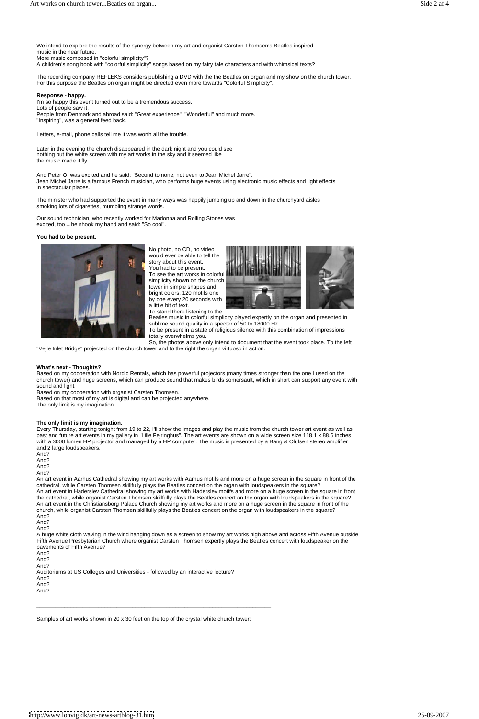We intend to explore the results of the synergy between my art and organist Carsten Thomsen's Beatles inspired music in the near future.

More music composed in "colorful simplicity"?

A children's song book with "colorful simplicity" songs based on my fairy tale characters and with whimsical texts?

I'm so happy this event turned out to be a tremendous success. Lots of people saw it. People from Denmark and abroad said: "Great experience", "Wonderful" and much more. "Inspiring", was a general feed back.

The recording company REFLEKS considers publishing a DVD with the the Beatles on organ and my show on the church tower. For this purpose the Beatles on organ might be directed even more towards "Colorful Simplicity".

## **Response - happy.**

Our sound technician, who recently worked for Madonna and Rolling Stones was excited, too - he shook my hand and said: "So cool".

Letters, e-mail, phone calls tell me it was worth all the trouble.

Later in the evening the church disappeared in the dark night and you could see nothing but the white screen with my art works in the sky and it seemed like the music made it fly.

And Peter O. was excited and he said: "Second to none, not even to Jean Michel Jarre". Jean Michel Jarre is a famous French musician, who performs huge events using electronic music effects and light effects in spectacular places.

The minister who had supported the event in many ways was happily jumping up and down in the churchyard aisles smoking lots of cigarettes, mumbling strange words.

#### **You had to be present.**



No photo, no CD, no video would ever be able to tell the story about this event. You had to be present. To see the art works in colorful simplicity shown on the church tower in simple shapes and bright colors, 120 motifs one by one every 20 seconds with

a little bit of text. To stand there listening to the



Beatles music in colorful simplicity played expertly on the organ and presented in sublime sound quality in a specter of 50 to 18000 Hz.

To be present in a state of religious silence with this combination of impressions totally overwhelms you.

So, the photos above only intend to document that the event took place. To the left "Vejle Inlet Bridge" projected on the church tower and to the right the organ virtuoso in action.

#### **What's next - Thoughts?**

Based on my cooperation with Nordic Rentals, which has powerful projectors (many times stronger than the one I used on the church tower) and huge screens, which can produce sound that makes birds somersault, which in short can support any event with sound and light.

Based on my cooperation with organist Carsten Thomsen.

Based on that most of my art is digital and can be projected anywhere. The only limit is my imagination.......

#### **The only limit is my imagination.**

Every Thursday, starting tonight from 19 to 22, I'll show the images and play the music from the church tower art event as well as past and future art events in my gallery in "Lille Fejringhus". The art events are shown on a wide screen size 118.1 x 88.6 inches with a 3000 lumen HP projector and managed by a HP computer. The music is presented by a Bang & Olufsen stereo amplifier and 2 large loudspeakers. And?

- 
- And?
- And?
- 

And? An art event in Aarhus Cathedral showing my art works with Aarhus motifs and more on a huge screen in the square in front of the cathedral, while Carsten Thomsen skillfully plays the Beatles concert on the organ with loudspeakers in the square? An art event in Haderslev Cathedral showing my art works with Haderslev motifs and more on a huge screen in the square in front the cathedral, while organist Carsten Thomsen skillfully plays the Beatles concert on the organ with loudspeakers in the square? An art event in the Christiansborg Palace Church showing my art works and more on a huge screen in the square in front of the church, while organist Carsten Thomsen skillfully plays the Beatles concert on the organ with loudspeakers in the square? And? And? And? A huge white cloth waving in the wind hanging down as a screen to show my art works high above and across Fifth Avenue outside Fifth Avenue Presbytarian Church where organist Carsten Thomsen expertly plays the Beatles concert with loudspeaker on the pavements of Fifth Avenue? And? And? And? Auditoriums at US Colleges and Universities - followed by an interactive lecture? And? And? And?

\_\_\_\_\_\_\_\_\_\_\_\_\_\_\_\_\_\_\_\_\_\_\_\_\_\_\_\_\_\_\_\_\_\_\_\_\_\_\_\_\_\_\_\_\_\_\_\_\_\_\_\_\_\_\_\_\_\_\_\_\_\_\_\_\_\_\_\_\_\_\_\_\_\_\_\_

Samples of art works shown in 20 x 30 feet on the top of the crystal white church tower: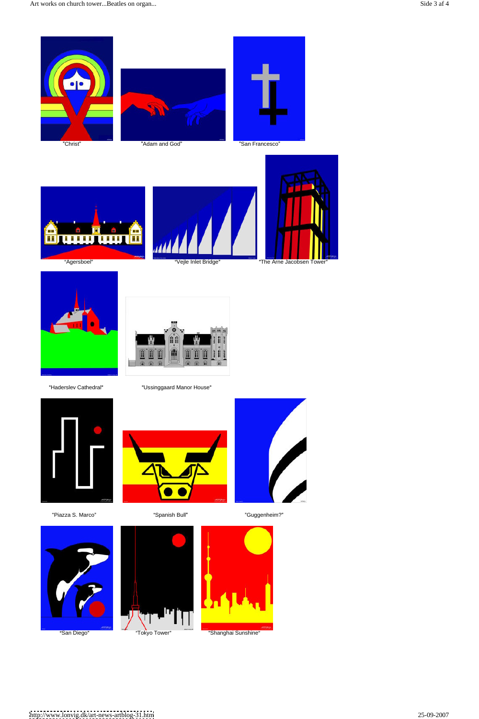









"Haderslev Cathedral" **Example 2** Ussinggaard Manor House"